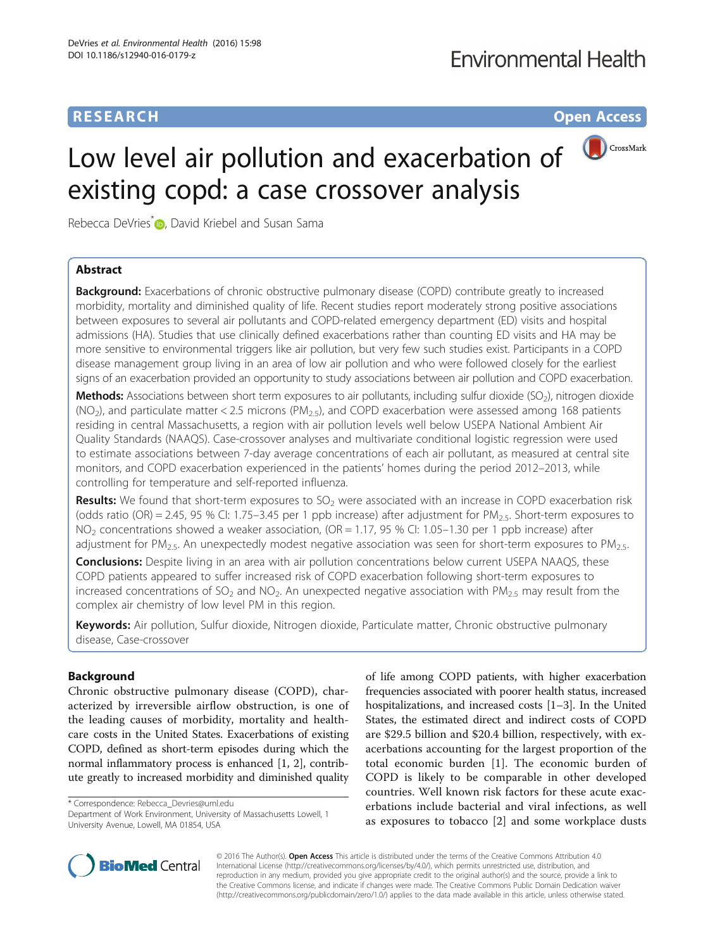## **RESEARCH RESEARCH** *CHECKER CHECKER CHECKER CHECKER CHECKER CHECKER CHECKER CHECKER CHECKER CHECKER CHECKER*



# Low level air pollution and exacerbation of existing copd: a case crossover analysis

Rebecca DeVries<sup>\*</sup><sup>1</sup>, David Kriebel and Susan Sama

## Abstract

**Background:** Exacerbations of chronic obstructive pulmonary disease (COPD) contribute greatly to increased morbidity, mortality and diminished quality of life. Recent studies report moderately strong positive associations between exposures to several air pollutants and COPD-related emergency department (ED) visits and hospital admissions (HA). Studies that use clinically defined exacerbations rather than counting ED visits and HA may be more sensitive to environmental triggers like air pollution, but very few such studies exist. Participants in a COPD disease management group living in an area of low air pollution and who were followed closely for the earliest signs of an exacerbation provided an opportunity to study associations between air pollution and COPD exacerbation.

**Methods:** Associations between short term exposures to air pollutants, including sulfur dioxide (SO<sub>2</sub>), nitrogen dioxide  $(NO<sub>2</sub>)$ , and particulate matter < 2.5 microns (PM<sub>2.5</sub>), and COPD exacerbation were assessed among 168 patients residing in central Massachusetts, a region with air pollution levels well below USEPA National Ambient Air Quality Standards (NAAQS). Case-crossover analyses and multivariate conditional logistic regression were used to estimate associations between 7-day average concentrations of each air pollutant, as measured at central site monitors, and COPD exacerbation experienced in the patients' homes during the period 2012–2013, while controlling for temperature and self-reported influenza.

**Results:** We found that short-term exposures to  $SO<sub>2</sub>$  were associated with an increase in COPD exacerbation risk (odds ratio (OR) = 2.45, 95 % CI: 1.75–3.45 per 1 ppb increase) after adjustment for PM<sub>2.5</sub>. Short-term exposures to  $NO<sub>2</sub>$  concentrations showed a weaker association, (OR = 1.17, 95 % CI: 1.05–1.30 per 1 ppb increase) after adjustment for PM<sub>2.5</sub>. An unexpectedly modest negative association was seen for short-term exposures to PM<sub>2.5</sub>.

**Conclusions:** Despite living in an area with air pollution concentrations below current USEPA NAAQS, these COPD patients appeared to suffer increased risk of COPD exacerbation following short-term exposures to increased concentrations of SO<sub>2</sub> and NO<sub>2</sub>. An unexpected negative association with PM<sub>2.5</sub> may result from the complex air chemistry of low level PM in this region.

Keywords: Air pollution, Sulfur dioxide, Nitrogen dioxide, Particulate matter, Chronic obstructive pulmonary disease, Case-crossover

## Background

Chronic obstructive pulmonary disease (COPD), characterized by irreversible airflow obstruction, is one of the leading causes of morbidity, mortality and healthcare costs in the United States. Exacerbations of existing COPD, defined as short-term episodes during which the normal inflammatory process is enhanced [\[1](#page-9-0), [2](#page-9-0)], contribute greatly to increased morbidity and diminished quality

Department of Work Environment, University of Massachusetts Lowell, 1 University Avenue, Lowell, MA 01854, USA

of life among COPD patients, with higher exacerbation frequencies associated with poorer health status, increased hospitalizations, and increased costs [[1](#page-9-0)–[3](#page-9-0)]. In the United States, the estimated direct and indirect costs of COPD are \$29.5 billion and \$20.4 billion, respectively, with exacerbations accounting for the largest proportion of the total economic burden [[1\]](#page-9-0). The economic burden of COPD is likely to be comparable in other developed countries. Well known risk factors for these acute exacerbations include bacterial and viral infections, as well as exposures to tobacco [[2\]](#page-9-0) and some workplace dusts



© 2016 The Author(s). Open Access This article is distributed under the terms of the Creative Commons Attribution 4.0 International License [\(http://creativecommons.org/licenses/by/4.0/](http://creativecommons.org/licenses/by/4.0/)), which permits unrestricted use, distribution, and reproduction in any medium, provided you give appropriate credit to the original author(s) and the source, provide a link to the Creative Commons license, and indicate if changes were made. The Creative Commons Public Domain Dedication waiver [\(http://creativecommons.org/publicdomain/zero/1.0/](http://creativecommons.org/publicdomain/zero/1.0/)) applies to the data made available in this article, unless otherwise stated.

<sup>\*</sup> Correspondence: [Rebecca\\_Devries@uml.edu](mailto:Rebecca_Devries@uml.edu)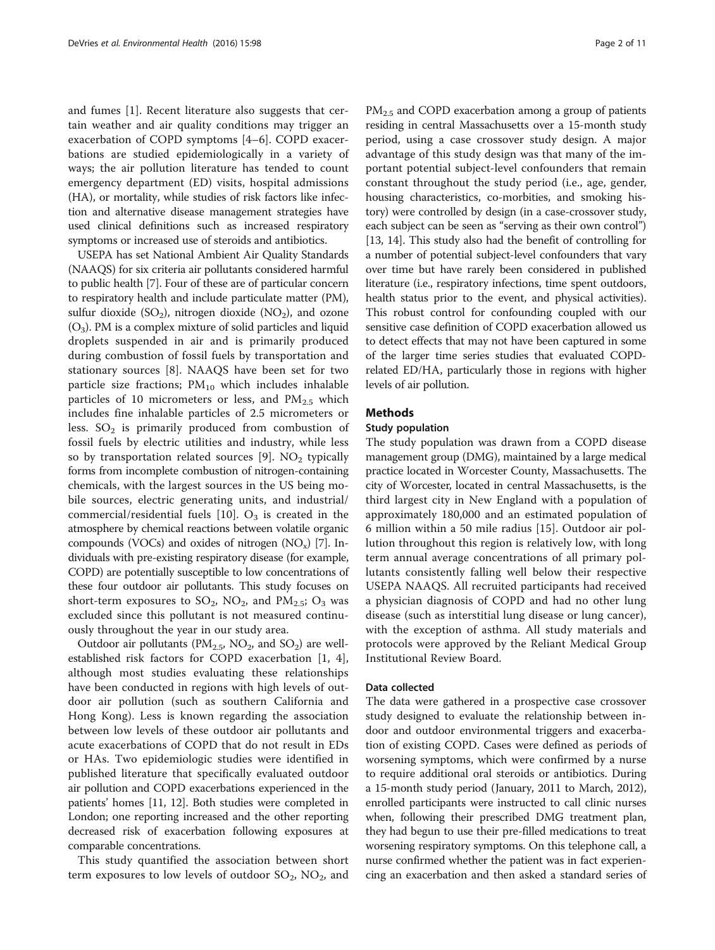and fumes [[1\]](#page-9-0). Recent literature also suggests that certain weather and air quality conditions may trigger an exacerbation of COPD symptoms [[4](#page-9-0)–[6\]](#page-9-0). COPD exacerbations are studied epidemiologically in a variety of ways; the air pollution literature has tended to count emergency department (ED) visits, hospital admissions (HA), or mortality, while studies of risk factors like infection and alternative disease management strategies have used clinical definitions such as increased respiratory symptoms or increased use of steroids and antibiotics.

USEPA has set National Ambient Air Quality Standards (NAAQS) for six criteria air pollutants considered harmful to public health [[7\]](#page-9-0). Four of these are of particular concern to respiratory health and include particulate matter (PM), sulfur dioxide  $(SO_2)$ , nitrogen dioxide  $(NO_2)$ , and ozone  $(O_3)$ . PM is a complex mixture of solid particles and liquid droplets suspended in air and is primarily produced during combustion of fossil fuels by transportation and stationary sources [\[8](#page-9-0)]. NAAQS have been set for two particle size fractions;  $PM_{10}$  which includes inhalable particles of 10 micrometers or less, and  $PM_{2.5}$  which includes fine inhalable particles of 2.5 micrometers or less.  $SO<sub>2</sub>$  is primarily produced from combustion of fossil fuels by electric utilities and industry, while less so by transportation related sources [\[9](#page-9-0)].  $NO<sub>2</sub>$  typically forms from incomplete combustion of nitrogen-containing chemicals, with the largest sources in the US being mobile sources, electric generating units, and industrial/ commercial/residential fuels [[10\]](#page-9-0).  $O_3$  is created in the atmosphere by chemical reactions between volatile organic compounds (VOCs) and oxides of nitrogen  $(NO_x)$  [\[7](#page-9-0)]. Individuals with pre-existing respiratory disease (for example, COPD) are potentially susceptible to low concentrations of these four outdoor air pollutants. This study focuses on short-term exposures to  $SO_2$ ,  $NO_2$ , and  $PM_{2.5}$ ;  $O_3$  was excluded since this pollutant is not measured continuously throughout the year in our study area.

Outdoor air pollutants ( $PM<sub>2.5</sub>$ ,  $NO<sub>2</sub>$ , and  $SO<sub>2</sub>$ ) are wellestablished risk factors for COPD exacerbation [[1, 4](#page-9-0)], although most studies evaluating these relationships have been conducted in regions with high levels of outdoor air pollution (such as southern California and Hong Kong). Less is known regarding the association between low levels of these outdoor air pollutants and acute exacerbations of COPD that do not result in EDs or HAs. Two epidemiologic studies were identified in published literature that specifically evaluated outdoor air pollution and COPD exacerbations experienced in the patients' homes [[11](#page-9-0), [12\]](#page-10-0). Both studies were completed in London; one reporting increased and the other reporting decreased risk of exacerbation following exposures at comparable concentrations.

This study quantified the association between short term exposures to low levels of outdoor  $SO_2$ ,  $NO_2$ , and PM<sub>2.5</sub> and COPD exacerbation among a group of patients residing in central Massachusetts over a 15-month study period, using a case crossover study design. A major advantage of this study design was that many of the important potential subject-level confounders that remain constant throughout the study period (i.e., age, gender, housing characteristics, co-morbities, and smoking history) were controlled by design (in a case-crossover study, each subject can be seen as "serving as their own control") [[13](#page-10-0), [14](#page-10-0)]. This study also had the benefit of controlling for a number of potential subject-level confounders that vary over time but have rarely been considered in published literature (i.e., respiratory infections, time spent outdoors, health status prior to the event, and physical activities). This robust control for confounding coupled with our sensitive case definition of COPD exacerbation allowed us to detect effects that may not have been captured in some of the larger time series studies that evaluated COPDrelated ED/HA, particularly those in regions with higher levels of air pollution.

## Methods

## Study population

The study population was drawn from a COPD disease management group (DMG), maintained by a large medical practice located in Worcester County, Massachusetts. The city of Worcester, located in central Massachusetts, is the third largest city in New England with a population of approximately 180,000 and an estimated population of 6 million within a 50 mile radius [[15\]](#page-10-0). Outdoor air pollution throughout this region is relatively low, with long term annual average concentrations of all primary pollutants consistently falling well below their respective USEPA NAAQS. All recruited participants had received a physician diagnosis of COPD and had no other lung disease (such as interstitial lung disease or lung cancer), with the exception of asthma. All study materials and protocols were approved by the Reliant Medical Group Institutional Review Board.

## Data collected

The data were gathered in a prospective case crossover study designed to evaluate the relationship between indoor and outdoor environmental triggers and exacerbation of existing COPD. Cases were defined as periods of worsening symptoms, which were confirmed by a nurse to require additional oral steroids or antibiotics. During a 15-month study period (January, 2011 to March, 2012), enrolled participants were instructed to call clinic nurses when, following their prescribed DMG treatment plan, they had begun to use their pre-filled medications to treat worsening respiratory symptoms. On this telephone call, a nurse confirmed whether the patient was in fact experiencing an exacerbation and then asked a standard series of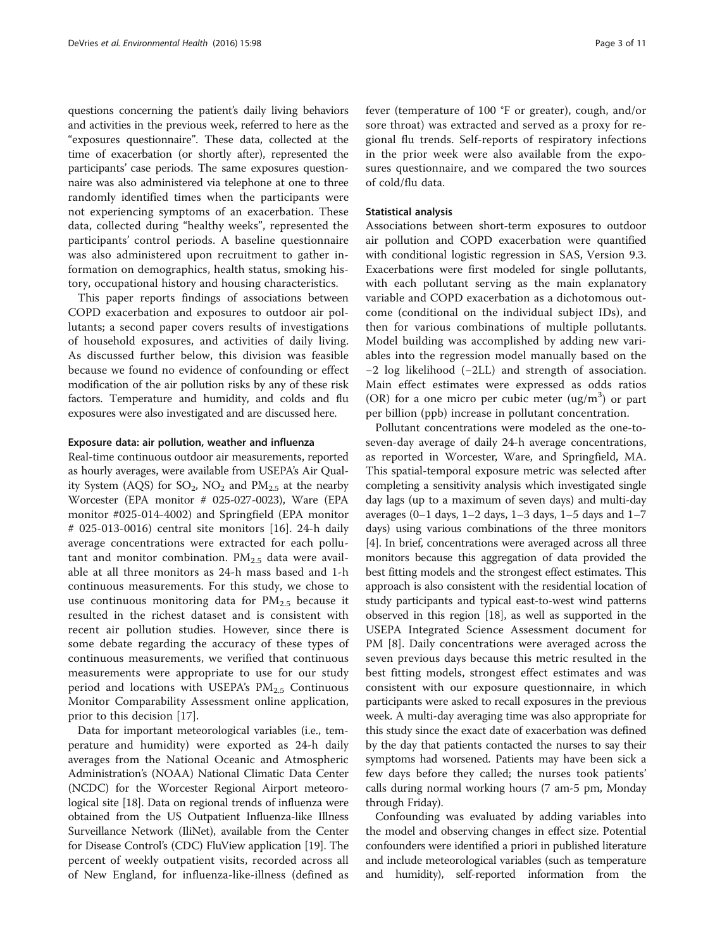questions concerning the patient's daily living behaviors and activities in the previous week, referred to here as the "exposures questionnaire". These data, collected at the time of exacerbation (or shortly after), represented the participants' case periods. The same exposures questionnaire was also administered via telephone at one to three randomly identified times when the participants were not experiencing symptoms of an exacerbation. These data, collected during "healthy weeks", represented the participants' control periods. A baseline questionnaire was also administered upon recruitment to gather information on demographics, health status, smoking history, occupational history and housing characteristics.

This paper reports findings of associations between COPD exacerbation and exposures to outdoor air pollutants; a second paper covers results of investigations of household exposures, and activities of daily living. As discussed further below, this division was feasible because we found no evidence of confounding or effect modification of the air pollution risks by any of these risk factors. Temperature and humidity, and colds and flu exposures were also investigated and are discussed here.

#### Exposure data: air pollution, weather and influenza

Real-time continuous outdoor air measurements, reported as hourly averages, were available from USEPA's Air Quality System (AQS) for  $SO_2$ , NO<sub>2</sub> and  $PM_{2.5}$  at the nearby Worcester (EPA monitor # 025-027-0023), Ware (EPA monitor #025-014-4002) and Springfield (EPA monitor # 025-013-0016) central site monitors [[16\]](#page-10-0). 24-h daily average concentrations were extracted for each pollutant and monitor combination.  $PM_{2.5}$  data were available at all three monitors as 24-h mass based and 1-h continuous measurements. For this study, we chose to use continuous monitoring data for  $PM_{2.5}$  because it resulted in the richest dataset and is consistent with recent air pollution studies. However, since there is some debate regarding the accuracy of these types of continuous measurements, we verified that continuous measurements were appropriate to use for our study period and locations with USEPA's  $PM_{2.5}$  Continuous Monitor Comparability Assessment online application, prior to this decision [\[17](#page-10-0)].

Data for important meteorological variables (i.e., temperature and humidity) were exported as 24-h daily averages from the National Oceanic and Atmospheric Administration's (NOAA) National Climatic Data Center (NCDC) for the Worcester Regional Airport meteorological site [\[18\]](#page-10-0). Data on regional trends of influenza were obtained from the US Outpatient Influenza-like Illness Surveillance Network (IliNet), available from the Center for Disease Control's (CDC) FluView application [\[19\]](#page-10-0). The percent of weekly outpatient visits, recorded across all of New England, for influenza-like-illness (defined as fever (temperature of 100 °F or greater), cough, and/or sore throat) was extracted and served as a proxy for regional flu trends. Self-reports of respiratory infections in the prior week were also available from the exposures questionnaire, and we compared the two sources of cold/flu data.

## Statistical analysis

Associations between short-term exposures to outdoor air pollution and COPD exacerbation were quantified with conditional logistic regression in SAS, Version 9.3. Exacerbations were first modeled for single pollutants, with each pollutant serving as the main explanatory variable and COPD exacerbation as a dichotomous outcome (conditional on the individual subject IDs), and then for various combinations of multiple pollutants. Model building was accomplished by adding new variables into the regression model manually based on the −2 log likelihood (−2LL) and strength of association. Main effect estimates were expressed as odds ratios (OR) for a one micro per cubic meter  $(ug/m<sup>3</sup>)$  or part per billion (ppb) increase in pollutant concentration.

Pollutant concentrations were modeled as the one-toseven-day average of daily 24-h average concentrations, as reported in Worcester, Ware, and Springfield, MA. This spatial-temporal exposure metric was selected after completing a sensitivity analysis which investigated single day lags (up to a maximum of seven days) and multi-day averages (0-1 days,  $1-2$  days,  $1-3$  days,  $1-5$  days and  $1-7$ days) using various combinations of the three monitors [[4\]](#page-9-0). In brief, concentrations were averaged across all three monitors because this aggregation of data provided the best fitting models and the strongest effect estimates. This approach is also consistent with the residential location of study participants and typical east-to-west wind patterns observed in this region [\[18\]](#page-10-0), as well as supported in the USEPA Integrated Science Assessment document for PM [[8\]](#page-9-0). Daily concentrations were averaged across the seven previous days because this metric resulted in the best fitting models, strongest effect estimates and was consistent with our exposure questionnaire, in which participants were asked to recall exposures in the previous week. A multi-day averaging time was also appropriate for this study since the exact date of exacerbation was defined by the day that patients contacted the nurses to say their symptoms had worsened. Patients may have been sick a few days before they called; the nurses took patients' calls during normal working hours (7 am-5 pm, Monday through Friday).

Confounding was evaluated by adding variables into the model and observing changes in effect size. Potential confounders were identified a priori in published literature and include meteorological variables (such as temperature and humidity), self-reported information from the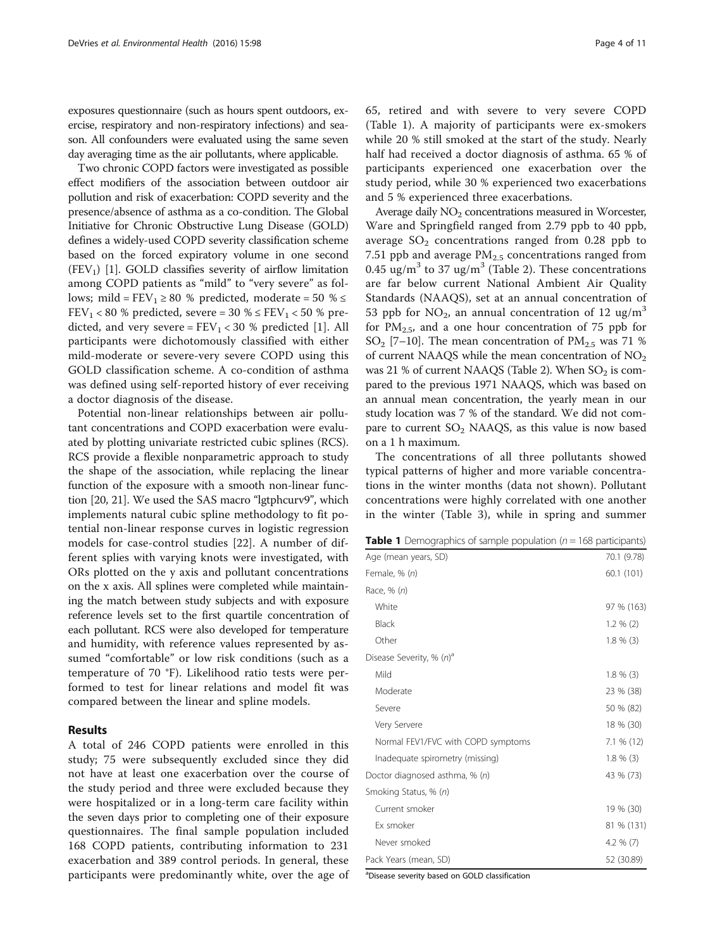<span id="page-3-0"></span>exposures questionnaire (such as hours spent outdoors, exercise, respiratory and non-respiratory infections) and season. All confounders were evaluated using the same seven day averaging time as the air pollutants, where applicable.

Two chronic COPD factors were investigated as possible effect modifiers of the association between outdoor air pollution and risk of exacerbation: COPD severity and the presence/absence of asthma as a co-condition. The Global Initiative for Chronic Obstructive Lung Disease (GOLD) defines a widely-used COPD severity classification scheme based on the forced expiratory volume in one second  $(FEV<sub>1</sub>)$  $(FEV<sub>1</sub>)$  $(FEV<sub>1</sub>)$  [1]. GOLD classifies severity of airflow limitation among COPD patients as "mild" to "very severe" as follows; mild =  $FEV_1 \ge 80$  % predicted, moderate = 50 %  $\le$ FEV<sub>1</sub> < 80 % predicted, severe = 30 %  $\leq$  FEV<sub>1</sub> < 50 % predicted, and very severe =  $FEV_1 < 30 %$  predicted [\[1](#page-9-0)]. All participants were dichotomously classified with either mild-moderate or severe-very severe COPD using this GOLD classification scheme. A co-condition of asthma was defined using self-reported history of ever receiving a doctor diagnosis of the disease.

Potential non-linear relationships between air pollutant concentrations and COPD exacerbation were evaluated by plotting univariate restricted cubic splines (RCS). RCS provide a flexible nonparametric approach to study the shape of the association, while replacing the linear function of the exposure with a smooth non-linear function [\[20](#page-10-0), [21\]](#page-10-0). We used the SAS macro "lgtphcurv9", which implements natural cubic spline methodology to fit potential non-linear response curves in logistic regression models for case-control studies [\[22](#page-10-0)]. A number of different splies with varying knots were investigated, with ORs plotted on the y axis and pollutant concentrations on the x axis. All splines were completed while maintaining the match between study subjects and with exposure reference levels set to the first quartile concentration of each pollutant. RCS were also developed for temperature and humidity, with reference values represented by assumed "comfortable" or low risk conditions (such as a temperature of 70 °F). Likelihood ratio tests were performed to test for linear relations and model fit was compared between the linear and spline models.

#### Results

A total of 246 COPD patients were enrolled in this study; 75 were subsequently excluded since they did not have at least one exacerbation over the course of the study period and three were excluded because they were hospitalized or in a long-term care facility within the seven days prior to completing one of their exposure questionnaires. The final sample population included 168 COPD patients, contributing information to 231 exacerbation and 389 control periods. In general, these participants were predominantly white, over the age of 65, retired and with severe to very severe COPD (Table 1). A majority of participants were ex-smokers while 20 % still smoked at the start of the study. Nearly half had received a doctor diagnosis of asthma. 65 % of participants experienced one exacerbation over the study period, while 30 % experienced two exacerbations and 5 % experienced three exacerbations.

Average daily  $NO<sub>2</sub>$  concentrations measured in Worcester, Ware and Springfield ranged from 2.79 ppb to 40 ppb, average  $SO_2$  concentrations ranged from 0.28 ppb to 7.51 ppb and average  $PM_{2.5}$  concentrations ranged from 0.45 ug/m<sup>3</sup> to 37 ug/m<sup>3</sup> (Table [2\)](#page-4-0). These concentrations are far below current National Ambient Air Quality Standards (NAAQS), set at an annual concentration of 53 ppb for NO<sub>2</sub>, an annual concentration of 12 ug/m<sup>3</sup> for  $PM_{2.5}$ , and a one hour concentration of 75 ppb for SO<sub>2</sub> [[7](#page-9-0)–[10\]](#page-9-0). The mean concentration of  $PM_{2.5}$  was 71 % of current NAAQS while the mean concentration of  $NO<sub>2</sub>$ was [2](#page-4-0)1 % of current NAAQS (Table 2). When  $SO_2$  is compared to the previous 1971 NAAQS, which was based on an annual mean concentration, the yearly mean in our study location was 7 % of the standard. We did not compare to current  $SO_2$  NAAQS, as this value is now based on a 1 h maximum.

The concentrations of all three pollutants showed typical patterns of higher and more variable concentrations in the winter months (data not shown). Pollutant concentrations were highly correlated with one another in the winter (Table [3](#page-4-0)), while in spring and summer

|  | <b>Table 1</b> Demographics of sample population ( $n = 168$ participants) |  |  |  |
|--|----------------------------------------------------------------------------|--|--|--|
|--|----------------------------------------------------------------------------|--|--|--|

| 70.1 (9.78)  |
|--------------|
| 60.1 (101)   |
|              |
| 97 % (163)   |
| $1.2 \% (2)$ |
| $1.8 \% (3)$ |
|              |
| $1.8 \% (3)$ |
| 23 % (38)    |
| 50 % (82)    |
| 18 % (30)    |
| 7.1 % (12)   |
| $1.8 \% (3)$ |
| 43 % (73)    |
|              |
| 19 % (30)    |
| 81 % (131)   |
| 4.2 $% (7)$  |
| 52 (30.89)   |
|              |

a Disease severity based on GOLD classification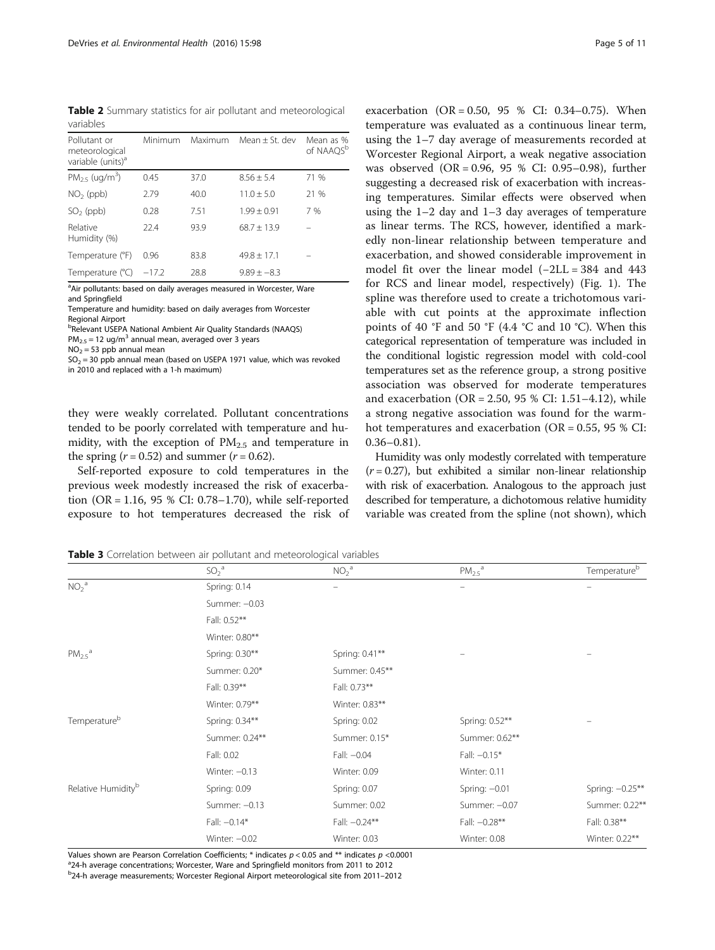<span id="page-4-0"></span>Table 2 Summary statistics for air pollutant and meteorological variables

| Pollutant or<br>meteorological<br>variable (units) <sup>a</sup> | Minimum | Maximum | Mean $+$ St. dev | Mean as %<br>of NAAQS <sup>b</sup> |
|-----------------------------------------------------------------|---------|---------|------------------|------------------------------------|
| $PM_{25}$ (ug/m <sup>3</sup> )                                  | 0.45    | 37.0    | $8.56 + 5.4$     | 71 %                               |
| $NO2$ (ppb)                                                     | 2.79    | 40.0    | $11.0 + 5.0$     | 21 %                               |
| $SO2$ (ppb)                                                     | 0.28    | 7.51    | $1.99 + 0.91$    | 7%                                 |
| Relative<br>Humidity (%)                                        | 22.4    | 93.9    | $68.7 \pm 13.9$  |                                    |
| Temperature (°F)                                                | 0.96    | 83.8    | $49.8 \pm 17.1$  |                                    |
| Temperature (°C)                                                | $-17.2$ | 28.8    | $9.89 + -8.3$    |                                    |

<sup>a</sup>Air pollutants: based on daily averages measured in Worcester, Ware and Springfield

Temperature and humidity: based on daily averages from Worcester Regional Airport

b Relevant USEPA National Ambient Air Quality Standards (NAAQS)  $PM_{2.5} = 12$  ug/m<sup>3</sup> annual mean, averaged over 3 years

 $NO<sub>2</sub> = 53$  ppb annual mean

 $SO<sub>2</sub> = 30$  ppb annual mean (based on USEPA 1971 value, which was revoked in 2010 and replaced with a 1-h maximum)

they were weakly correlated. Pollutant concentrations tended to be poorly correlated with temperature and humidity, with the exception of  $PM_{2.5}$  and temperature in the spring  $(r = 0.52)$  and summer  $(r = 0.62)$ .

Self-reported exposure to cold temperatures in the previous week modestly increased the risk of exacerbation (OR = 1.16, 95 % CI: 0.78–1.70), while self-reported exposure to hot temperatures decreased the risk of

exacerbation  $(OR = 0.50, 95 % CI: 0.34-0.75)$ . When temperature was evaluated as a continuous linear term, using the 1–7 day average of measurements recorded at Worcester Regional Airport, a weak negative association was observed (OR = 0.96, 95 % CI: 0.95–0.98), further suggesting a decreased risk of exacerbation with increasing temperatures. Similar effects were observed when using the 1–2 day and 1–3 day averages of temperature as linear terms. The RCS, however, identified a markedly non-linear relationship between temperature and exacerbation, and showed considerable improvement in model fit over the linear model (−2LL = 384 and 443 for RCS and linear model, respectively) (Fig. [1\)](#page-5-0). The spline was therefore used to create a trichotomous variable with cut points at the approximate inflection points of 40 °F and 50 °F (4.4 °C and 10 °C). When this categorical representation of temperature was included in the conditional logistic regression model with cold-cool temperatures set as the reference group, a strong positive association was observed for moderate temperatures and exacerbation (OR = 2.50, 95 % CI: 1.51-4.12), while a strong negative association was found for the warmhot temperatures and exacerbation ( $OR = 0.55$ , 95 % CI:  $0.36 - 0.81$ ).

Humidity was only modestly correlated with temperature  $(r = 0.27)$ , but exhibited a similar non-linear relationship with risk of exacerbation. Analogous to the approach just described for temperature, a dichotomous relative humidity variable was created from the spline (not shown), which

Table 3 Correlation between air pollutant and meteorological variables

|                                | SO <sub>2</sub> <sup>a</sup> | NO <sub>2</sub> <sup>a</sup> | $PM_{2.5}$ <sup>a</sup> | Temperature <sup>b</sup> |
|--------------------------------|------------------------------|------------------------------|-------------------------|--------------------------|
| NO <sub>2</sub> <sup>a</sup>   | Spring: 0.14                 |                              |                         |                          |
|                                | Summer: - 0.03               |                              |                         |                          |
|                                | Fall: 0.52**                 |                              |                         |                          |
|                                | Winter: 0.80**               |                              |                         |                          |
| $PM_{2.5}$ <sup>a</sup>        | Spring: 0.30**               | Spring: 0.41**               |                         |                          |
|                                | Summer: 0.20*                | Summer: 0.45**               |                         |                          |
|                                | Fall: 0.39**                 | Fall: 0.73**                 |                         |                          |
|                                | Winter: 0.79**               | Winter: 0.83**               |                         |                          |
| Temperatureb                   | Spring: 0.34**               | Spring: 0.02                 | Spring: 0.52**          |                          |
|                                | Summer: 0.24**               | Summer: 0.15*                | Summer: 0.62**          |                          |
|                                | Fall: 0.02                   | Fall: -0.04                  | Fall: $-0.15*$          |                          |
|                                | Winter: $-0.13$              | Winter: 0.09                 | Winter: 0.11            |                          |
| Relative Humidity <sup>b</sup> | Spring: 0.09                 | Spring: 0.07                 | Spring: $-0.01$         | Spring: $-0.25***$       |
|                                | Summer: - 0.13               | Summer: 0.02                 | Summer: - 0.07          | Summer: 0.22**           |
|                                | Fall: $-0.14*$               | Fall: $-0.24***$             | Fall: $-0.28**$         | Fall: 0.38**             |
|                                | Winter: $-0.02$              | Winter: 0.03                 | Winter: 0.08            | Winter: 0.22**           |

Values shown are Pearson Correlation Coefficients;  $*$  indicates  $p < 0.05$  and  $**$  indicates  $p < 0.0001$ <sup>a</sup> 24-h average concentrations: Worcester, Ware and Springfield monitors from 2011 to 2012

b 24-h average measurements; Worcester Regional Airport meteorological site from 2011–2012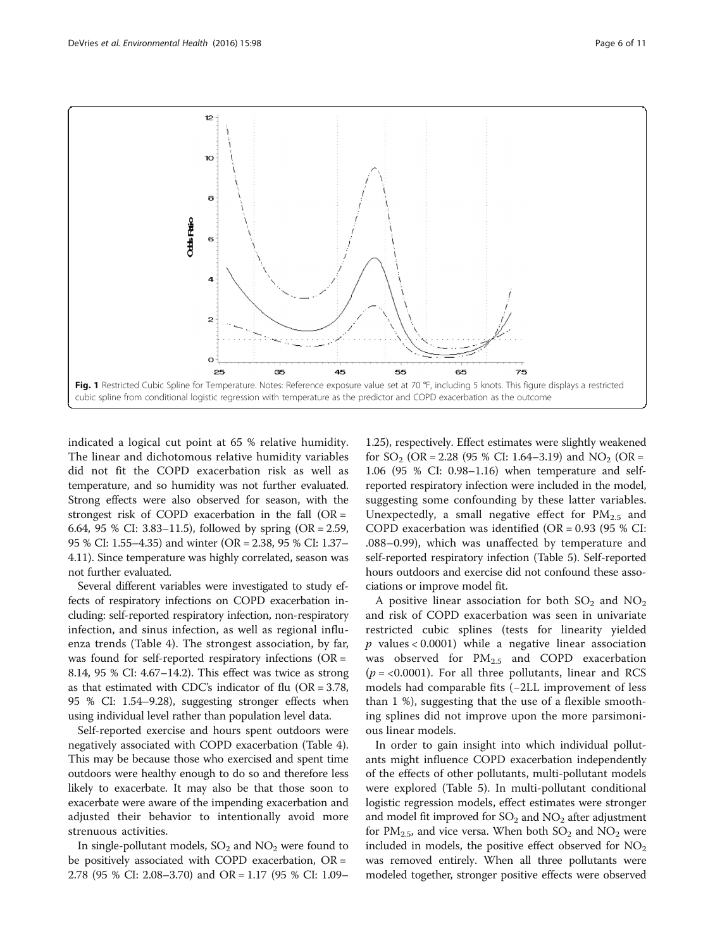<span id="page-5-0"></span>

indicated a logical cut point at 65 % relative humidity. The linear and dichotomous relative humidity variables did not fit the COPD exacerbation risk as well as temperature, and so humidity was not further evaluated. Strong effects were also observed for season, with the strongest risk of COPD exacerbation in the fall  $(OR =$ 6.64, 95 % CI: 3.83–11.5), followed by spring (OR = 2.59, 95 % CI: 1.55–4.35) and winter (OR = 2.38, 95 % CI: 1.37– 4.11). Since temperature was highly correlated, season was not further evaluated.

Several different variables were investigated to study effects of respiratory infections on COPD exacerbation including: self-reported respiratory infection, non-respiratory infection, and sinus infection, as well as regional influenza trends (Table [4](#page-6-0)). The strongest association, by far, was found for self-reported respiratory infections (OR = 8.14, 95 % CI: 4.67–14.2). This effect was twice as strong as that estimated with CDC's indicator of flu (OR = 3.78, 95 % CI: 1.54–9.28), suggesting stronger effects when using individual level rather than population level data.

Self-reported exercise and hours spent outdoors were negatively associated with COPD exacerbation (Table [4](#page-6-0)). This may be because those who exercised and spent time outdoors were healthy enough to do so and therefore less likely to exacerbate. It may also be that those soon to exacerbate were aware of the impending exacerbation and adjusted their behavior to intentionally avoid more strenuous activities.

In single-pollutant models,  $SO_2$  and  $NO_2$  were found to be positively associated with COPD exacerbation,  $OR =$ 2.78 (95 % CI: 2.08–3.70) and OR = 1.17 (95 % CI: 1.09–

1.25), respectively. Effect estimates were slightly weakened for  $SO_2$  (OR = 2.28 (95 % CI: 1.64–3.19) and  $NO_2$  (OR = 1.06 (95 % CI: 0.98–1.16) when temperature and selfreported respiratory infection were included in the model, suggesting some confounding by these latter variables. Unexpectedly, a small negative effect for  $PM_{2.5}$  and COPD exacerbation was identified (OR =  $0.93$  (95 % CI: .088–0.99), which was unaffected by temperature and self-reported respiratory infection (Table [5\)](#page-6-0). Self-reported hours outdoors and exercise did not confound these associations or improve model fit.

A positive linear association for both  $SO_2$  and  $NO_2$ and risk of COPD exacerbation was seen in univariate restricted cubic splines (tests for linearity yielded  $p$  values < 0.0001) while a negative linear association was observed for  $PM_{2.5}$  and COPD exacerbation  $(p = 0.0001)$ . For all three pollutants, linear and RCS models had comparable fits (−2LL improvement of less than 1 %), suggesting that the use of a flexible smoothing splines did not improve upon the more parsimonious linear models.

In order to gain insight into which individual pollutants might influence COPD exacerbation independently of the effects of other pollutants, multi-pollutant models were explored (Table [5](#page-6-0)). In multi-pollutant conditional logistic regression models, effect estimates were stronger and model fit improved for  $SO_2$  and  $NO_2$  after adjustment for  $PM_{2.5}$ , and vice versa. When both  $SO_2$  and  $NO_2$  were included in models, the positive effect observed for  $NO<sub>2</sub>$ was removed entirely. When all three pollutants were modeled together, stronger positive effects were observed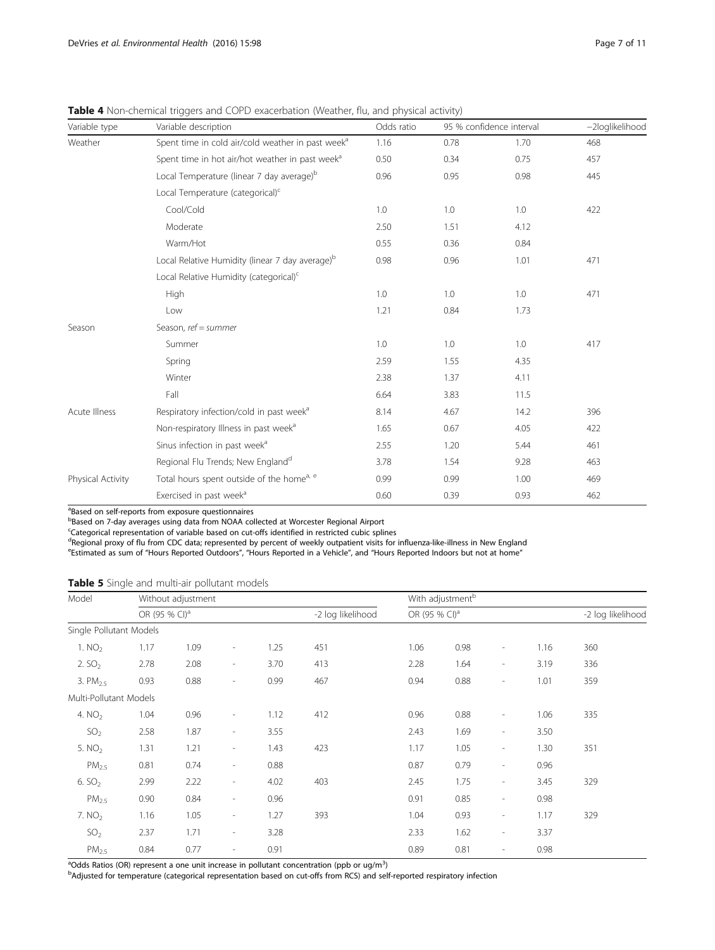<span id="page-6-0"></span>Table 4 Non-chemical triggers and COPD exacerbation (Weather, flu, and physical activity)

| Variable type     | Variable description                                          | Odds ratio | 95 % confidence interval | -2loglikelihood |     |
|-------------------|---------------------------------------------------------------|------------|--------------------------|-----------------|-----|
| Weather           | Spent time in cold air/cold weather in past week <sup>a</sup> | 1.16       | 0.78                     | 1.70            | 468 |
|                   | Spent time in hot air/hot weather in past week <sup>a</sup>   | 0.50       | 0.34                     | 0.75            | 457 |
|                   | Local Temperature (linear 7 day average) <sup>b</sup>         | 0.96       | 0.95                     | 0.98            | 445 |
|                   | Local Temperature (categorical) <sup>c</sup>                  |            |                          |                 |     |
|                   | Cool/Cold                                                     | 1.0        | 1.0                      | 1.0             | 422 |
|                   | Moderate                                                      | 2.50       | 1.51                     | 4.12            |     |
|                   | Warm/Hot                                                      | 0.55       | 0.36                     | 0.84            |     |
|                   | Local Relative Humidity (linear 7 day average) <sup>b</sup>   | 0.98       | 0.96                     | 1.01            | 471 |
|                   | Local Relative Humidity (categorical) <sup>c</sup>            |            |                          |                 |     |
|                   | High                                                          | 1.0        | 1.0                      | 1.0             | 471 |
|                   | Low                                                           | 1.21       | 0.84                     | 1.73            |     |
| Season            | Season, $ref = summer$                                        |            |                          |                 |     |
|                   | Summer                                                        | 1.0        | 1.0                      | 1.0             | 417 |
|                   | Spring                                                        | 2.59       | 1.55                     | 4.35            |     |
|                   | Winter                                                        | 2.38       | 1.37                     | 4.11            |     |
|                   | Fall                                                          | 6.64       | 3.83                     | 11.5            |     |
| Acute Illness     | Respiratory infection/cold in past week <sup>a</sup>          | 8.14       | 4.67                     | 14.2            | 396 |
|                   | Non-respiratory Illness in past week <sup>a</sup>             | 1.65       | 0.67                     | 4.05            | 422 |
|                   | Sinus infection in past week <sup>a</sup>                     | 2.55       | 1.20                     | 5.44            | 461 |
|                   | Regional Flu Trends; New England <sup>d</sup>                 | 3.78       | 1.54                     | 9.28            | 463 |
| Physical Activity | Total hours spent outside of the home <sup>a, e</sup>         | 0.99       | 0.99                     | 1.00            | 469 |
|                   | Exercised in past week <sup>a</sup>                           | 0.60       | 0.39                     | 0.93            | 462 |

<sup>a</sup>Based on self-reports from exposure questionnaires

<sup>b</sup>Based on 7-day averages using data from NOAA collected at Worcester Regional Airport

<sup>c</sup>Categorical representation of variable based on cut-offs identified in restricted cubic splines

<sup>d</sup>Regional proxy of flu from CDC data; represented by percent of weekly outpatient visits for influenza-like-illness in New England<br><sup>e</sup>Estimated as sum of "Hours Reported Outdoors", "Hours Reported in a Vehicle", and "Hou

|  |  |  |  |  | Table 5 Single and multi-air pollutant models |  |
|--|--|--|--|--|-----------------------------------------------|--|
|--|--|--|--|--|-----------------------------------------------|--|

| Model                   |                           | Without adjustment |                          |      |                   |                           | With adjustment <sup>b</sup> |                          |                   |     |
|-------------------------|---------------------------|--------------------|--------------------------|------|-------------------|---------------------------|------------------------------|--------------------------|-------------------|-----|
|                         | OR (95 % CI) <sup>a</sup> |                    |                          |      | -2 log likelihood | OR (95 % CI) <sup>a</sup> |                              |                          | -2 log likelihood |     |
| Single Pollutant Models |                           |                    |                          |      |                   |                           |                              |                          |                   |     |
| 1. NO <sub>2</sub>      | 1.17                      | 1.09               | $\overline{\phantom{a}}$ | 1.25 | 451               | 1.06                      | 0.98                         | $\overline{\phantom{a}}$ | 1.16              | 360 |
| 2. $SO2$                | 2.78                      | 2.08               | $\overline{\phantom{a}}$ | 3.70 | 413               | 2.28                      | 1.64                         | $\overline{\phantom{a}}$ | 3.19              | 336 |
| 3. $PM_{2.5}$           | 0.93                      | 0.88               | $\overline{\phantom{a}}$ | 0.99 | 467               | 0.94                      | 0.88                         | $\overline{\phantom{a}}$ | 1.01              | 359 |
| Multi-Pollutant Models  |                           |                    |                          |      |                   |                           |                              |                          |                   |     |
| 4. $NO2$                | 1.04                      | 0.96               | $\overline{\phantom{a}}$ | 1.12 | 412               | 0.96                      | 0.88                         | $\overline{\phantom{a}}$ | 1.06              | 335 |
| SO <sub>2</sub>         | 2.58                      | 1.87               | $\overline{\phantom{a}}$ | 3.55 |                   | 2.43                      | 1.69                         | $\overline{\phantom{a}}$ | 3.50              |     |
| 5. $NO2$                | 1.31                      | 1.21               | $\overline{\phantom{a}}$ | 1.43 | 423               | 1.17                      | 1.05                         | $\overline{\phantom{a}}$ | 1.30              | 351 |
| PM <sub>2.5</sub>       | 0.81                      | 0.74               | $\overline{\phantom{a}}$ | 0.88 |                   | 0.87                      | 0.79                         | $\overline{\phantom{a}}$ | 0.96              |     |
| 6. $SO2$                | 2.99                      | 2.22               | $\overline{\phantom{a}}$ | 4.02 | 403               | 2.45                      | 1.75                         | $\overline{\phantom{a}}$ | 3.45              | 329 |
| $PM_{2.5}$              | 0.90                      | 0.84               | $\overline{\phantom{a}}$ | 0.96 |                   | 0.91                      | 0.85                         | $\overline{\phantom{a}}$ | 0.98              |     |
| 7. NO <sub>2</sub>      | 1.16                      | 1.05               | $\overline{\phantom{a}}$ | 1.27 | 393               | 1.04                      | 0.93                         | $\overline{\phantom{a}}$ | 1.17              | 329 |
| SO <sub>2</sub>         | 2.37                      | 1.71               | $\overline{\phantom{a}}$ | 3.28 |                   | 2.33                      | 1.62                         | $\overline{\phantom{a}}$ | 3.37              |     |
| PM <sub>2.5</sub>       | 0.84                      | 0.77               | $\overline{\phantom{a}}$ | 0.91 |                   | 0.89                      | 0.81                         | $\overline{\phantom{a}}$ | 0.98              |     |

<sup>a</sup>Odds Ratios (OR) represent a one unit increase in pollutant concentration (ppb or ug/m<sup>3</sup>)<br><sup>b</sup>Adjusted for temperature (categorical representation based on cut-offs from PCS) and se

**Adjusted for temperature (categorical representation based on cut-offs from RCS) and self-reported respiratory infection**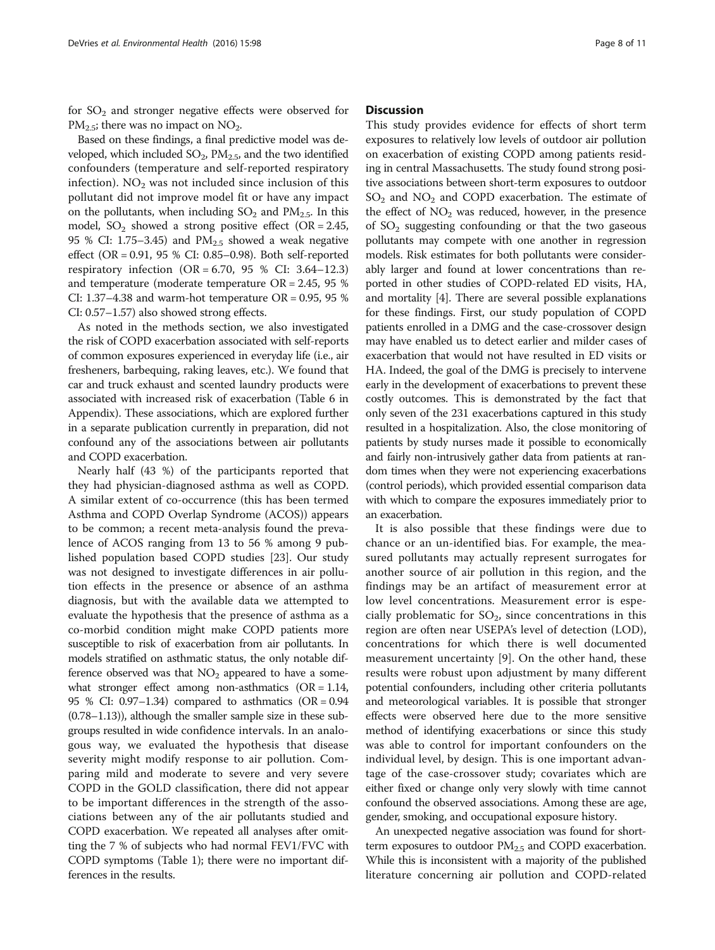for  $SO_2$  and stronger negative effects were observed for  $PM_{2.5}$ ; there was no impact on NO<sub>2</sub>.

Based on these findings, a final predictive model was developed, which included  $SO_2$ ,  $PM_{2.5}$ , and the two identified confounders (temperature and self-reported respiratory infection).  $NO<sub>2</sub>$  was not included since inclusion of this pollutant did not improve model fit or have any impact on the pollutants, when including  $SO_2$  and  $PM_{2.5}$ . In this model,  $SO_2$  showed a strong positive effect (OR = 2.45, 95 % CI: 1.75–3.45) and  $PM_{2.5}$  showed a weak negative effect (OR = 0.91, 95 % CI: 0.85–0.98). Both self-reported respiratory infection  $(OR = 6.70, 95 % CI: 3.64-12.3)$ and temperature (moderate temperature OR = 2.45, 95 % CI: 1.37–4.38 and warm-hot temperature OR =  $0.95$ , 95 % CI: 0.57–1.57) also showed strong effects.

As noted in the methods section, we also investigated the risk of COPD exacerbation associated with self-reports of common exposures experienced in everyday life (i.e., air fresheners, barbequing, raking leaves, etc.). We found that car and truck exhaust and scented laundry products were associated with increased risk of exacerbation (Table 6 in Appendix). These associations, which are explored further in a separate publication currently in preparation, did not confound any of the associations between air pollutants and COPD exacerbation.

Nearly half (43 %) of the participants reported that they had physician-diagnosed asthma as well as COPD. A similar extent of co-occurrence (this has been termed Asthma and COPD Overlap Syndrome (ACOS)) appears to be common; a recent meta-analysis found the prevalence of ACOS ranging from 13 to 56 % among 9 published population based COPD studies [\[23\]](#page-10-0). Our study was not designed to investigate differences in air pollution effects in the presence or absence of an asthma diagnosis, but with the available data we attempted to evaluate the hypothesis that the presence of asthma as a co-morbid condition might make COPD patients more susceptible to risk of exacerbation from air pollutants. In models stratified on asthmatic status, the only notable difference observed was that  $NO<sub>2</sub>$  appeared to have a somewhat stronger effect among non-asthmatics (OR = 1.14, 95 % CI: 0.97–1.34) compared to asthmatics (OR = 0.94 (0.78–1.13)), although the smaller sample size in these subgroups resulted in wide confidence intervals. In an analogous way, we evaluated the hypothesis that disease severity might modify response to air pollution. Comparing mild and moderate to severe and very severe COPD in the GOLD classification, there did not appear to be important differences in the strength of the associations between any of the air pollutants studied and COPD exacerbation. We repeated all analyses after omitting the 7 % of subjects who had normal FEV1/FVC with COPD symptoms (Table [1](#page-3-0)); there were no important differences in the results.

## **Discussion**

This study provides evidence for effects of short term exposures to relatively low levels of outdoor air pollution on exacerbation of existing COPD among patients residing in central Massachusetts. The study found strong positive associations between short-term exposures to outdoor  $SO<sub>2</sub>$  and  $NO<sub>2</sub>$  and COPD exacerbation. The estimate of the effect of  $NO<sub>2</sub>$  was reduced, however, in the presence of  $SO<sub>2</sub>$  suggesting confounding or that the two gaseous pollutants may compete with one another in regression models. Risk estimates for both pollutants were considerably larger and found at lower concentrations than reported in other studies of COPD-related ED visits, HA, and mortality [\[4\]](#page-9-0). There are several possible explanations for these findings. First, our study population of COPD patients enrolled in a DMG and the case-crossover design may have enabled us to detect earlier and milder cases of exacerbation that would not have resulted in ED visits or HA. Indeed, the goal of the DMG is precisely to intervene early in the development of exacerbations to prevent these costly outcomes. This is demonstrated by the fact that only seven of the 231 exacerbations captured in this study resulted in a hospitalization. Also, the close monitoring of patients by study nurses made it possible to economically and fairly non-intrusively gather data from patients at random times when they were not experiencing exacerbations (control periods), which provided essential comparison data with which to compare the exposures immediately prior to an exacerbation.

It is also possible that these findings were due to chance or an un-identified bias. For example, the measured pollutants may actually represent surrogates for another source of air pollution in this region, and the findings may be an artifact of measurement error at low level concentrations. Measurement error is especially problematic for  $SO_2$ , since concentrations in this region are often near USEPA's level of detection (LOD), concentrations for which there is well documented measurement uncertainty [\[9](#page-9-0)]. On the other hand, these results were robust upon adjustment by many different potential confounders, including other criteria pollutants and meteorological variables. It is possible that stronger effects were observed here due to the more sensitive method of identifying exacerbations or since this study was able to control for important confounders on the individual level, by design. This is one important advantage of the case-crossover study; covariates which are either fixed or change only very slowly with time cannot confound the observed associations. Among these are age, gender, smoking, and occupational exposure history.

An unexpected negative association was found for shortterm exposures to outdoor  $PM_{2.5}$  and COPD exacerbation. While this is inconsistent with a majority of the published literature concerning air pollution and COPD-related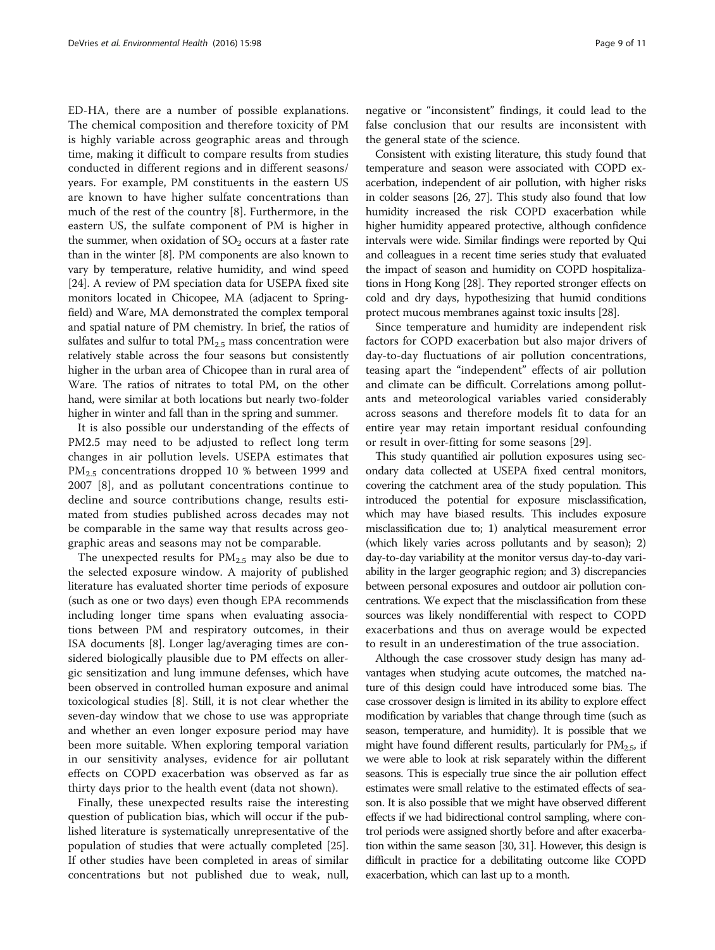ED-HA, there are a number of possible explanations. The chemical composition and therefore toxicity of PM is highly variable across geographic areas and through time, making it difficult to compare results from studies conducted in different regions and in different seasons/ years. For example, PM constituents in the eastern US are known to have higher sulfate concentrations than much of the rest of the country [[8\]](#page-9-0). Furthermore, in the eastern US, the sulfate component of PM is higher in the summer, when oxidation of  $SO<sub>2</sub>$  occurs at a faster rate than in the winter [[8](#page-9-0)]. PM components are also known to vary by temperature, relative humidity, and wind speed [[24](#page-10-0)]. A review of PM speciation data for USEPA fixed site monitors located in Chicopee, MA (adjacent to Springfield) and Ware, MA demonstrated the complex temporal and spatial nature of PM chemistry. In brief, the ratios of sulfates and sulfur to total  $PM_{2.5}$  mass concentration were relatively stable across the four seasons but consistently higher in the urban area of Chicopee than in rural area of Ware. The ratios of nitrates to total PM, on the other hand, were similar at both locations but nearly two-folder higher in winter and fall than in the spring and summer.

It is also possible our understanding of the effects of PM2.5 may need to be adjusted to reflect long term changes in air pollution levels. USEPA estimates that PM<sub>2.5</sub> concentrations dropped 10 % between 1999 and 2007 [[8\]](#page-9-0), and as pollutant concentrations continue to decline and source contributions change, results estimated from studies published across decades may not be comparable in the same way that results across geographic areas and seasons may not be comparable.

The unexpected results for  $PM_{2.5}$  may also be due to the selected exposure window. A majority of published literature has evaluated shorter time periods of exposure (such as one or two days) even though EPA recommends including longer time spans when evaluating associations between PM and respiratory outcomes, in their ISA documents [\[8](#page-9-0)]. Longer lag/averaging times are considered biologically plausible due to PM effects on allergic sensitization and lung immune defenses, which have been observed in controlled human exposure and animal toxicological studies [[8](#page-9-0)]. Still, it is not clear whether the seven-day window that we chose to use was appropriate and whether an even longer exposure period may have been more suitable. When exploring temporal variation in our sensitivity analyses, evidence for air pollutant effects on COPD exacerbation was observed as far as thirty days prior to the health event (data not shown).

Finally, these unexpected results raise the interesting question of publication bias, which will occur if the published literature is systematically unrepresentative of the population of studies that were actually completed [\[25](#page-10-0)]. If other studies have been completed in areas of similar concentrations but not published due to weak, null,

negative or "inconsistent" findings, it could lead to the false conclusion that our results are inconsistent with the general state of the science.

Consistent with existing literature, this study found that temperature and season were associated with COPD exacerbation, independent of air pollution, with higher risks in colder seasons [\[26, 27](#page-10-0)]. This study also found that low humidity increased the risk COPD exacerbation while higher humidity appeared protective, although confidence intervals were wide. Similar findings were reported by Qui and colleagues in a recent time series study that evaluated the impact of season and humidity on COPD hospitalizations in Hong Kong [[28](#page-10-0)]. They reported stronger effects on cold and dry days, hypothesizing that humid conditions protect mucous membranes against toxic insults [[28](#page-10-0)].

Since temperature and humidity are independent risk factors for COPD exacerbation but also major drivers of day-to-day fluctuations of air pollution concentrations, teasing apart the "independent" effects of air pollution and climate can be difficult. Correlations among pollutants and meteorological variables varied considerably across seasons and therefore models fit to data for an entire year may retain important residual confounding or result in over-fitting for some seasons [[29\]](#page-10-0).

This study quantified air pollution exposures using secondary data collected at USEPA fixed central monitors, covering the catchment area of the study population. This introduced the potential for exposure misclassification, which may have biased results. This includes exposure misclassification due to; 1) analytical measurement error (which likely varies across pollutants and by season); 2) day-to-day variability at the monitor versus day-to-day variability in the larger geographic region; and 3) discrepancies between personal exposures and outdoor air pollution concentrations. We expect that the misclassification from these sources was likely nondifferential with respect to COPD exacerbations and thus on average would be expected to result in an underestimation of the true association.

Although the case crossover study design has many advantages when studying acute outcomes, the matched nature of this design could have introduced some bias. The case crossover design is limited in its ability to explore effect modification by variables that change through time (such as season, temperature, and humidity). It is possible that we might have found different results, particularly for  $PM<sub>2.5</sub>$ , if we were able to look at risk separately within the different seasons. This is especially true since the air pollution effect estimates were small relative to the estimated effects of season. It is also possible that we might have observed different effects if we had bidirectional control sampling, where control periods were assigned shortly before and after exacerbation within the same season [[30, 31\]](#page-10-0). However, this design is difficult in practice for a debilitating outcome like COPD exacerbation, which can last up to a month.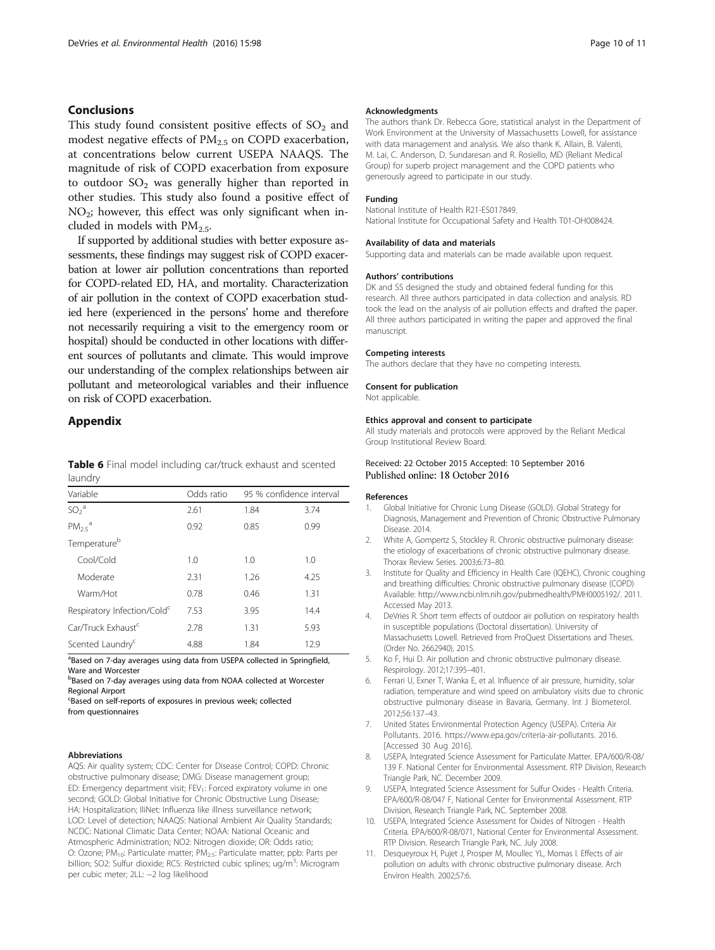## <span id="page-9-0"></span>Conclusions

This study found consistent positive effects of  $SO<sub>2</sub>$  and modest negative effects of  $PM<sub>2.5</sub>$  on COPD exacerbation, at concentrations below current USEPA NAAQS. The magnitude of risk of COPD exacerbation from exposure to outdoor  $SO_2$  was generally higher than reported in other studies. This study also found a positive effect of  $NO<sub>2</sub>$ ; however, this effect was only significant when included in models with  $PM_{2.5}$ .

If supported by additional studies with better exposure assessments, these findings may suggest risk of COPD exacerbation at lower air pollution concentrations than reported for COPD-related ED, HA, and mortality. Characterization of air pollution in the context of COPD exacerbation studied here (experienced in the persons' home and therefore not necessarily requiring a visit to the emergency room or hospital) should be conducted in other locations with different sources of pollutants and climate. This would improve our understanding of the complex relationships between air pollutant and meteorological variables and their influence on risk of COPD exacerbation.

## Appendix

Table 6 Final model including car/truck exhaust and scented laundry

| Variable                                | Odds ratio | 95 % confidence interval |      |
|-----------------------------------------|------------|--------------------------|------|
| $SO2$ <sup>a</sup>                      | 2.61       | 1.84                     | 3.74 |
| $PM_{25}$ <sup>a</sup>                  | 0.92       | 0.85                     | 0.99 |
| Temperature <sup>b</sup>                |            |                          |      |
| Cool/Cold                               | 1.0        | 1.0                      | 1.0  |
| Moderate                                | 2.31       | 1.26                     | 4.25 |
| Warm/Hot                                | 0.78       | 0.46                     | 1.31 |
| Respiratory Infection/Cold <sup>c</sup> | 7.53       | 3.95                     | 14.4 |
| Car/Truck Exhaust <sup>c</sup>          | 2.78       | 1.31                     | 5.93 |
| Scented Laundry <sup>c</sup>            | 4.88       | 1.84                     | 12.9 |

<sup>a</sup>Based on 7-day averages using data from USEPA collected in Springfield, Ware and Worcester

<sup>b</sup>Based on 7-day averages using data from NOAA collected at Worcester Regional Airport c Based on self-reports of exposures in previous week; collected

from questionnaires

#### Abbreviations

AQS: Air quality system; CDC: Center for Disease Control; COPD: Chronic obstructive pulmonary disease; DMG: Disease management group; ED: Emergency department visit; FEV<sub>1</sub>: Forced expiratory volume in one second; GOLD: Global Initiative for Chronic Obstructive Lung Disease; HA: Hospitalization; IliNet: Influenza like illness surveillance network; LOD: Level of detection; NAAQS: National Ambient Air Quality Standards; NCDC: National Climatic Data Center; NOAA: National Oceanic and Atmospheric Administration; NO2: Nitrogen dioxide; OR: Odds ratio; O: Ozone; PM10: Particulate matter; PM2.5: Particulate matter; ppb: Parts per billion; SO2: Sulfur dioxide; RCS: Restricted cubic splines; ug/m<sup>3</sup>: Microgram per cubic meter; 2LL: −2 log likelihood

#### Acknowledgments

The authors thank Dr. Rebecca Gore, statistical analyst in the Department of Work Environment at the University of Massachusetts Lowell, for assistance with data management and analysis. We also thank K. Allain, B. Valenti, M. Lai, C. Anderson, D. Sundaresan and R. Rosiello, MD (Reliant Medical Group) for superb project management and the COPD patients who generously agreed to participate in our study.

#### Funding

National Institute of Health R21-ES017849. National Institute for Occupational Safety and Health T01-OH008424.

#### Availability of data and materials

Supporting data and materials can be made available upon request.

#### Authors' contributions

DK and SS designed the study and obtained federal funding for this research. All three authors participated in data collection and analysis. RD took the lead on the analysis of air pollution effects and drafted the paper. All three authors participated in writing the paper and approved the final manuscript.

#### Competing interests

The authors declare that they have no competing interests.

#### Consent for publication

Not applicable.

#### Ethics approval and consent to participate

All study materials and protocols were approved by the Reliant Medical Group Institutional Review Board.

### Received: 22 October 2015 Accepted: 10 September 2016 Published online: 18 October 2016

#### References

- 1. Global Initiative for Chronic Lung Disease (GOLD). Global Strategy for Diagnosis, Management and Prevention of Chronic Obstructive Pulmonary Disease. 2014.
- 2. White A, Gompertz S, Stockley R. Chronic obstructive pulmonary disease: the etiology of exacerbations of chronic obstructive pulmonary disease. Thorax Review Series. 2003;6:73–80.
- 3. Institute for Quality and Efficiency in Health Care (IQEHC), Chronic coughing and breathing difficulties: Chronic obstructive pulmonary disease (COPD) Available: [http://www.ncbi.nlm.nih.gov/pubmedhealth/PMH0005192/.](http://www.ncbi.nlm.nih.gov/pubmedhealth/PMH0005192/) 2011. Accessed May 2013.
- 4. DeVries R. Short term effects of outdoor air pollution on respiratory health in susceptible populations (Doctoral dissertation). University of Massachusetts Lowell. Retrieved from ProQuest Dissertations and Theses. (Order No. 2662940), 2015.
- 5. Ko F, Hui D. Air pollution and chronic obstructive pulmonary disease. Respirology. 2012;17:395–401.
- 6. Ferrari U, Exner T, Wanka E, et al. Influence of air pressure, humidity, solar radiation, temperature and wind speed on ambulatory visits due to chronic obstructive pulmonary disease in Bavaria, Germany. Int J Biometerol. 2012;56:137–43.
- 7. United States Environmental Protection Agency (USEPA). Criteria Air Pollutants. 2016. [https://www.epa.gov/criteria-air-pollutants.](https://www.epa.gov/criteria-air-pollutants) 2016. [Accessed 30 Aug 2016].
- 8. USEPA, Integrated Science Assessment for Particulate Matter. EPA/600/R-08/ 139 F. National Center for Environmental Assessment. RTP Division, Research Triangle Park, NC. December 2009.
- 9. USEPA, Integrated Science Assessment for Sulfur Oxides Health Criteria. EPA/600/R-08/047 F, National Center for Environmental Assessment. RTP Division, Research Triangle Park, NC. September 2008.
- 10. USEPA, Integrated Science Assessment for Oxides of Nitrogen Health Criteria. EPA/600/R-08/071, National Center for Environmental Assessment. RTP Division. Research Triangle Park, NC. July 2008.
- 11. Desqueyroux H, Pujet J, Prosper M, Moullec YL, Momas I. Effects of air pollution on adults with chronic obstructive pulmonary disease. Arch Environ Health. 2002;57:6.